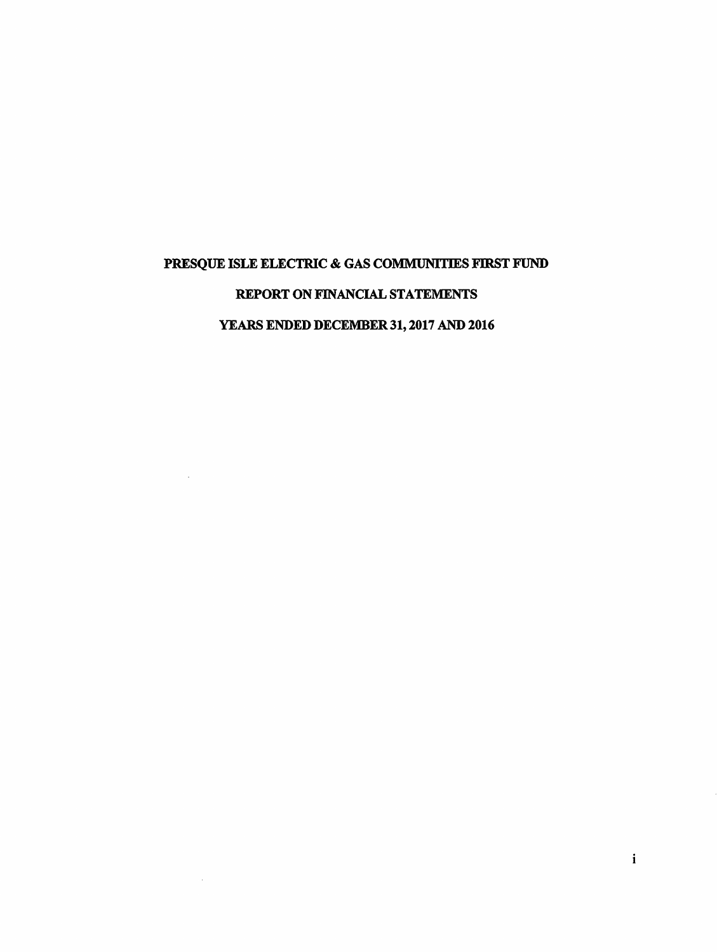## PRESQUE ISLE ELECTRIC & GAS COMMUNITIES FIRST FUND

## REPORT ON FINANCIAL STATEMENTS

# YEARS ENDED DECEMBER 31, 2017 AND 2016

 $\sim$ 

 $\sim$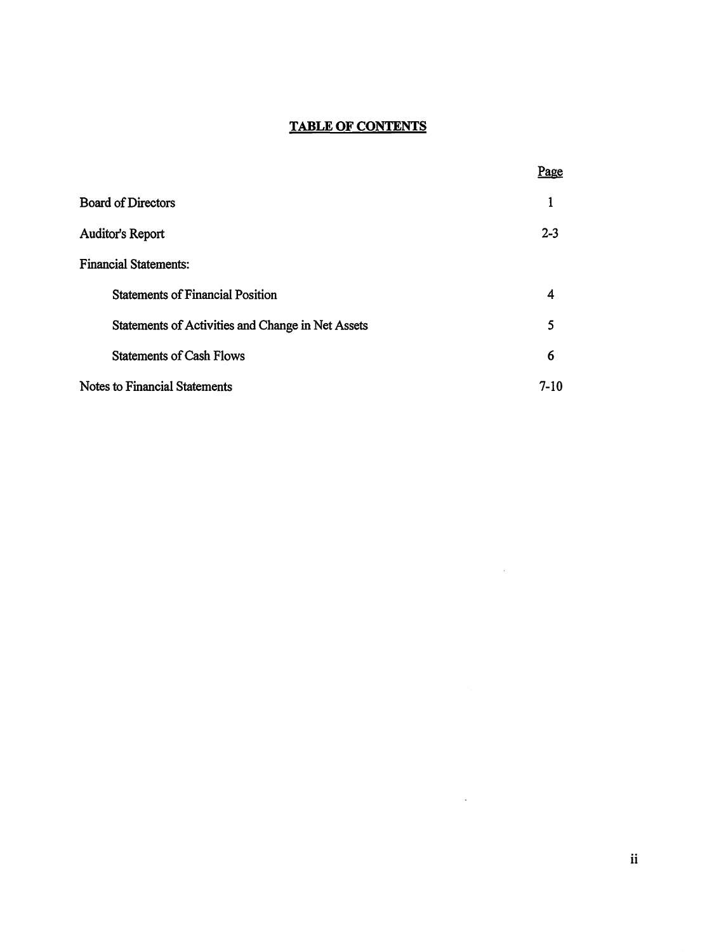## **TABLE OF CONTENTS**

|                                                   | Page    |
|---------------------------------------------------|---------|
| <b>Board of Directors</b>                         |         |
| Auditor's Report                                  | $2 - 3$ |
| <b>Financial Statements:</b>                      |         |
| <b>Statements of Financial Position</b>           | 4       |
| Statements of Activities and Change in Net Assets | 5       |
| <b>Statements of Cash Flows</b>                   | 6       |
| Notes to Financial Statements                     | $7-10$  |

 $\mathcal{L}^{\text{max}}_{\text{max}}$  and  $\mathcal{L}^{\text{max}}_{\text{max}}$ 

 $\mathcal{L}^{\text{max}}_{\text{max}}$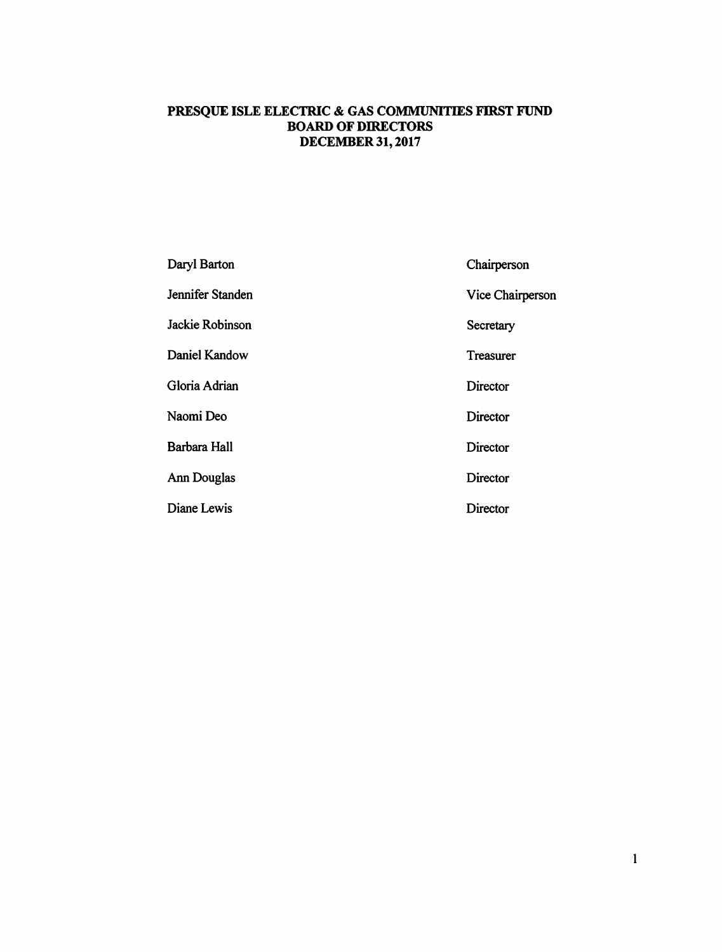## **PRESQUE ISLE ELECTRIC** & **GAS COMMUNITIES FIRST FUND BOARD OF DIRECTORS DECEMBER31,2017**

| Daryl Barton       | Chairperson      |
|--------------------|------------------|
| Jennifer Standen   | Vice Chairperson |
| Jackie Robinson    | Secretary        |
| Daniel Kandow      | Treasurer        |
| Gloria Adrian      | Director         |
| Naomi Deo          | <b>Director</b>  |
| Barbara Hall       | Director         |
| <b>Ann Douglas</b> | Director         |
| Diane Lewis        | <b>Director</b>  |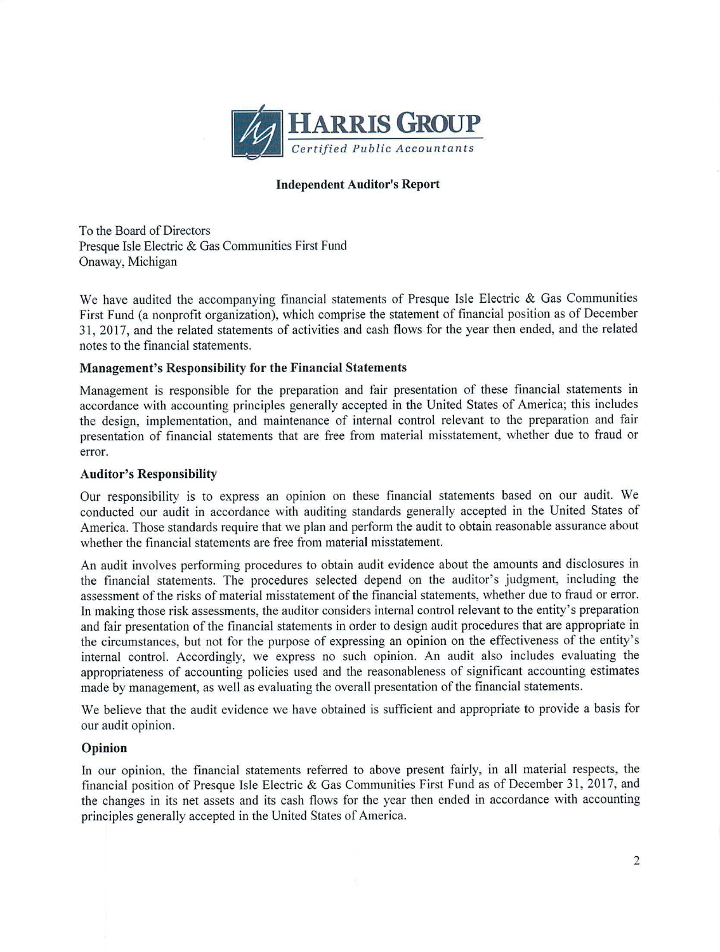

#### **Independent Auditor's Report**

To the Board of Directors Presque Isle Electric & Gas Communities First Fund Onaway, Michigan

We have audited the accompanying financial statements of Presque Isle Electric & Gas Communities First Fund (a nonprofit organization), which comprise the statement of financial position as of December 31, 2017, and the related statements of activities and cash flows for the year then ended, and the related notes to the financial statements.

#### **Management's Responsibility for the Financial Statements**

Management is responsible for the preparation and fair presentation of these financial statements in accordance with accounting principles generally accepted in the United States of America; this includes the design, implementation, and maintenance of internal control relevant to the preparation and fair presentation of financial statements that are free from material misstatement, whether due to fraud or error.

#### **Auditor's Responsibility**

Our responsibility is to express an opinion on these financial statements based on our audit. We conducted our audit in accordance with auditing standards generally accepted in the United States of America. Those standards require that we plan and perform the audit to obtain reasonable assurance about whether the financial statements are free from material misstatement.

An audit involves performing procedures to obtain audit evidence about the amounts and disclosures in the financial statements. The procedures selected depend on the auditor's judgment, including the assessment of the risks of material misstatement of the financial statements, whether due to fraud or error. In making those risk assessments, the auditor considers internal control relevant to the entity's preparation and fair presentation of the financial statements in order to design audit procedures that are appropriate in the circumstances, but not for the purpose of expressing an opinion on the effectiveness of the entity's internal control. Accordingly, we express no such opinion. An audit also includes evaluating the appropriateness of accounting policies used and the reasonableness of significant accounting estimates made by management, as well as evaluating the overall presentation of the financial statements.

We believe that the audit evidence we have obtained is sufficient and appropriate to provide a basis for our audit opinion.

#### **Opinion**

In our opinion, the financial statements referred to above present fairly, in all material respects, the financial position of Presque Isle Electric & Gas Communities First Fund as of December 31 , 2017, and the changes in its net assets and its cash flows for the year then ended in accordance with accounting principles generally accepted in the United States of America.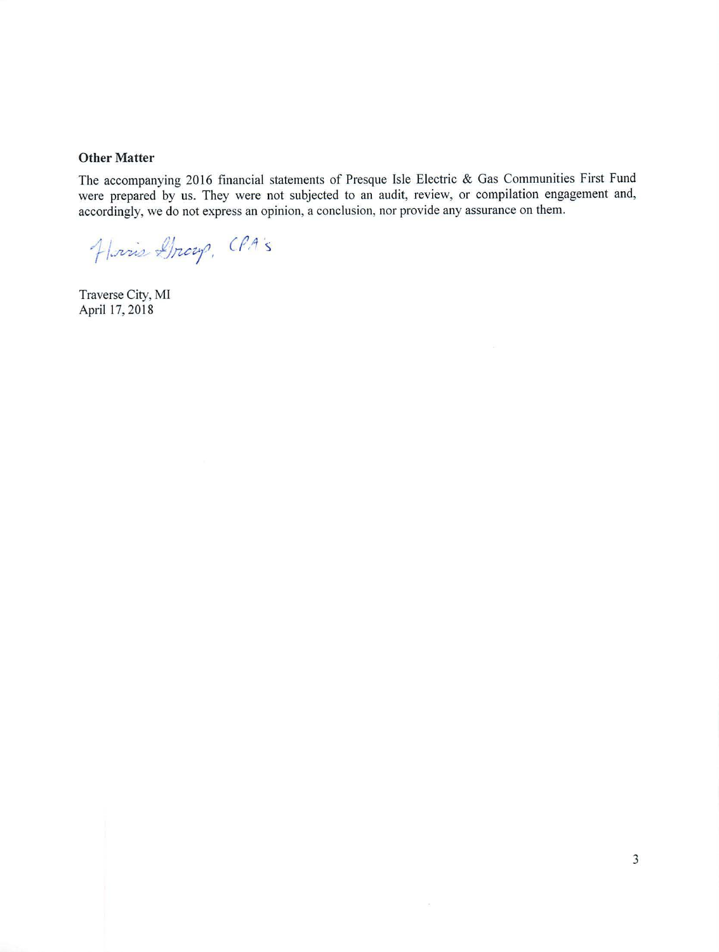#### **Other Matter**

The accompanying 2016 financial statements of Presque Isle Electric & Gas Communities First Fund were prepared by us. They were not subjected to an audit, review, or compilation engagement and, accordingly, we do not express an opinion, a conclusion, nor provide any assurance on them.

 $\bar{c}$ 

Harris Gray, CPA's

Traverse City, MI April 17,2018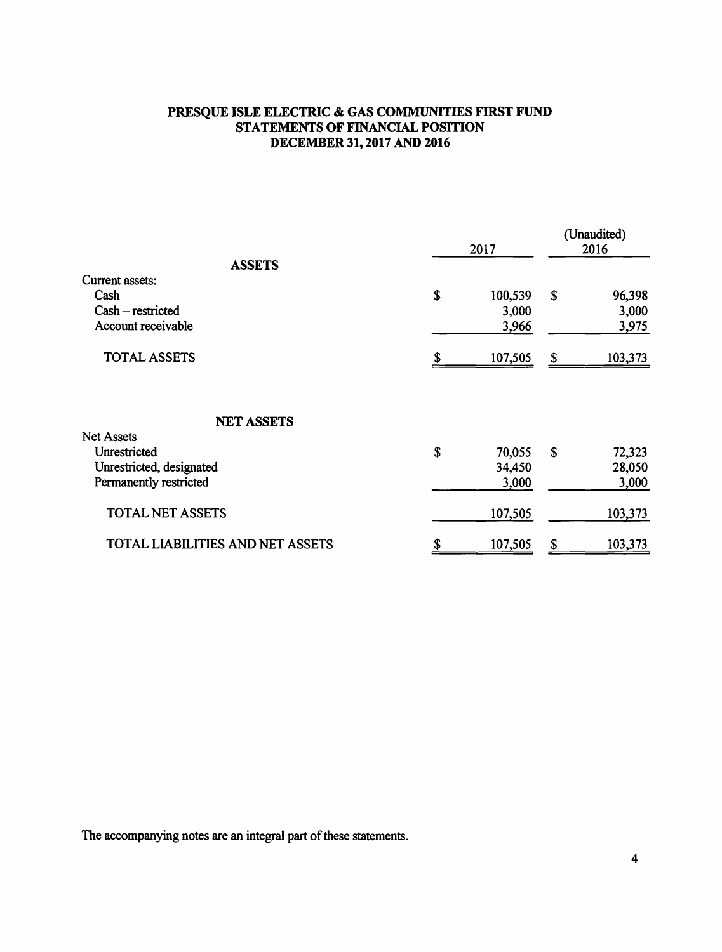## **PRESQUE ISLE ELECTRIC** & **GAS COMMUNITIES FIRST FUND STATEMENTS OF FINANCIAL POSITION DECEMBER31,2017 AND2016**

|                                  |             | 2017    |    | (Unaudited)<br>2016 |  |
|----------------------------------|-------------|---------|----|---------------------|--|
| <b>ASSETS</b>                    |             |         |    |                     |  |
| Current assets:                  |             |         |    |                     |  |
| Cash                             | \$          | 100,539 | \$ | 96,398              |  |
| Cash - restricted                |             | 3,000   |    | 3,000               |  |
| Account receivable               |             | 3,966   |    | 3,975               |  |
| <b>TOTAL ASSETS</b>              |             | 107,505 | \$ | 103,373             |  |
| <b>NET ASSETS</b>                |             |         |    |                     |  |
| <b>Net Assets</b>                |             |         |    |                     |  |
| Unrestricted                     | $\mathbf S$ | 70,055  | \$ | 72,323              |  |
| Unrestricted, designated         |             | 34,450  |    | 28,050              |  |
| Permanently restricted           |             | 3,000   |    | 3,000               |  |
| <b>TOTAL NET ASSETS</b>          |             | 107,505 |    | 103,373             |  |
| TOTAL LIABILITIES AND NET ASSETS |             | 107,505 | \$ | 103,373             |  |

The accompanying notes are an integral part of these statements.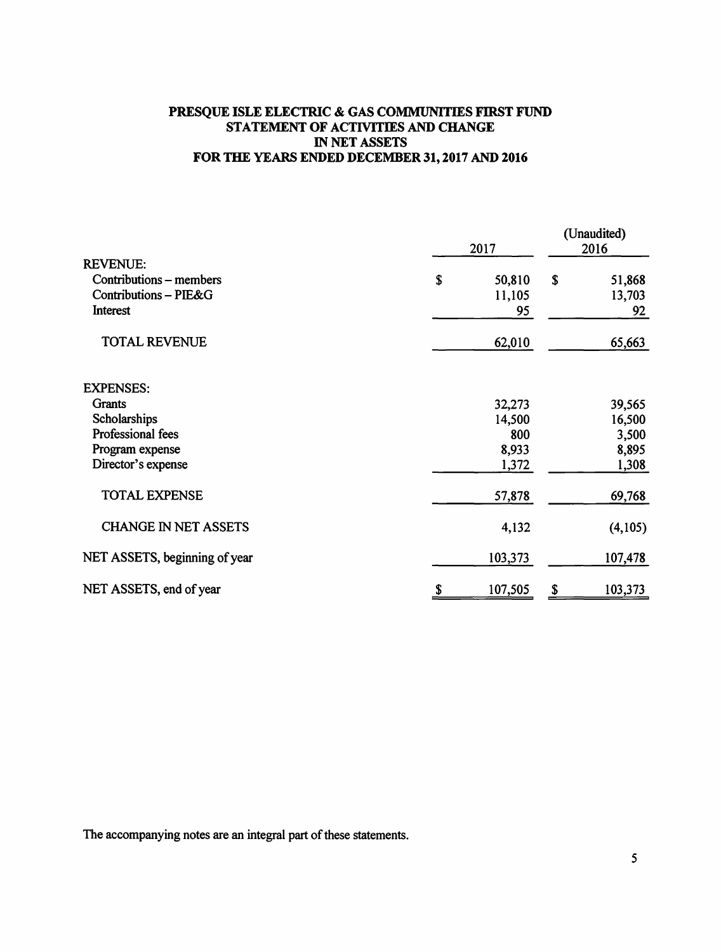### **PRESQUE ISLE ELECTRIC** & **GAS COMMUNITIES FIRST FUND STATEMENT OF ACTIVITIES AND CHANGE** IN **NET ASSETS FOR THE YEARS ENDED DECEMBER 31, 2017 AND 2016**

|                                                                                 | 2017                         | (Unaudited)<br>2016 |                        |
|---------------------------------------------------------------------------------|------------------------------|---------------------|------------------------|
| <b>REVENUE:</b><br>Contributions - members<br>Contributions - PIE&G<br>Interest | \$<br>50,810<br>11,105<br>95 | \$                  | 51,868<br>13,703<br>92 |
| <b>TOTAL REVENUE</b>                                                            | 62,010                       |                     | 65,663                 |
| <b>EXPENSES:</b>                                                                |                              |                     |                        |
| Grants                                                                          | 32,273                       |                     | 39,565                 |
| Scholarships                                                                    | 14,500                       |                     | 16,500                 |
| Professional fees                                                               | 800                          |                     | 3,500                  |
| Program expense                                                                 | 8,933                        |                     | 8,895                  |
| Director's expense                                                              | 1,372                        |                     | 1,308                  |
| <b>TOTAL EXPENSE</b>                                                            | 57,878                       |                     | 69,768                 |
| <b>CHANGE IN NET ASSETS</b>                                                     | 4,132                        |                     | (4,105)                |
| NET ASSETS, beginning of year                                                   | 103,373                      |                     | 107,478                |
| NET ASSETS, end of year                                                         | 107,505<br>\$                | \$                  | 103,373                |

The accompanying notes are an integral part of these statements.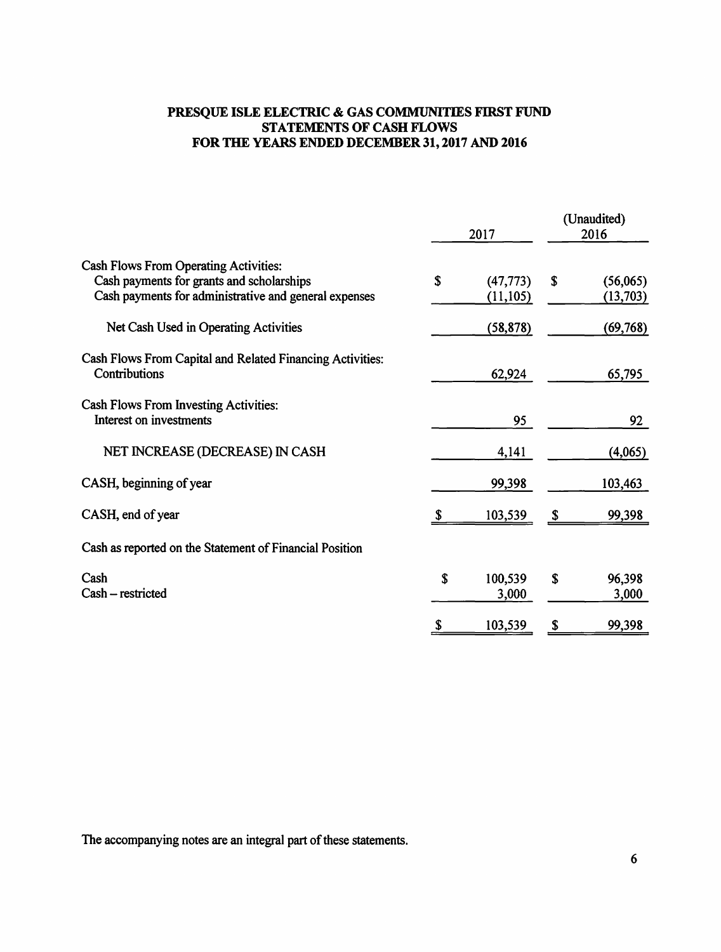## **PRESQUE ISLE ELECTRIC** & **GAS COMMUNITIES FIRST FUND STATEMENTS OF CASH FLOWS FOR THE YEARS ENDED DECEMBER 31, 2017 AND 2016**

|                                                                                                                                                    | 2017                         |    | (Unaudited)<br>2016   |  |
|----------------------------------------------------------------------------------------------------------------------------------------------------|------------------------------|----|-----------------------|--|
| <b>Cash Flows From Operating Activities:</b><br>Cash payments for grants and scholarships<br>Cash payments for administrative and general expenses | \$<br>(47, 773)<br>(11, 105) | \$ | (56,065)<br>(13, 703) |  |
| Net Cash Used in Operating Activities                                                                                                              | (58, 878)                    |    | (69, 768)             |  |
| Cash Flows From Capital and Related Financing Activities:<br>Contributions                                                                         | 62,924                       |    | 65,795                |  |
| Cash Flows From Investing Activities:<br>Interest on investments                                                                                   | 95                           |    | 92                    |  |
| NET INCREASE (DECREASE) IN CASH                                                                                                                    | 4,141                        |    | (4,065)               |  |
| CASH, beginning of year                                                                                                                            | 99,398                       |    | 103,463               |  |
| CASH, end of year                                                                                                                                  | 103,539                      |    | 99,398                |  |
| Cash as reported on the Statement of Financial Position                                                                                            |                              |    |                       |  |
| Cash<br>Cash – restricted                                                                                                                          | \$<br>100,539<br>3,000       | S  | 96,398<br>3,000       |  |
|                                                                                                                                                    | 103,539                      | \$ | 99,398                |  |

The accompanying notes are an integral part of these statements.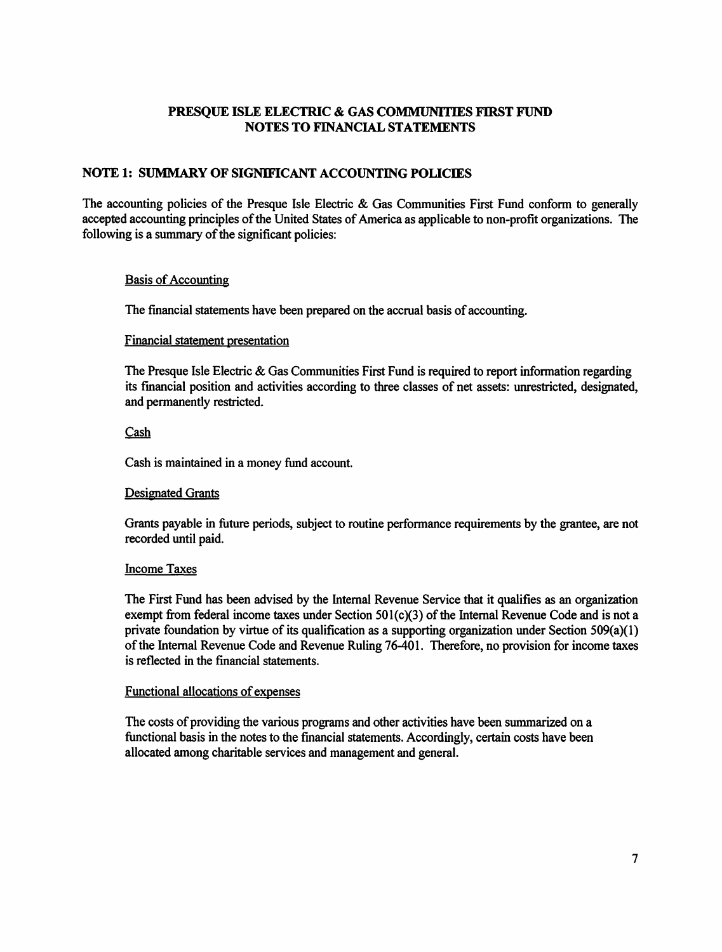## **NOTE 1: SUMMARY OF SIGNIFICANT ACCOUNTING POLICIES**

The accounting policies of the Presque Isle Electric & Gas Communities First Fund conform to generally accepted accounting principles of the United States of America as applicable to non-profit organizations. The following is a summary of the significant policies:

#### Basis of Accounting

The financial statements have been prepared on the accrual basis of accounting.

#### Financial statement presentation

The Presque Isle Electric & Gas Communities First Fund is required to report information regarding its financial position and activities according to three classes of net assets: unrestricted, designated, and permanently restricted.

#### Cash

Cash is maintained in a money fund account.

#### Designated Grants

Grants payable in future periods, subject to routine performance requirements by the grantee, are not recorded until paid.

#### Income Taxes

The First Fund has been advised by the Internal Revenue Service that it qualifies as an organization exempt from federal income taxes under Section 501(c)(3) of the Internal Revenue Code and is not a private foundation by virtue of its qualification as a supporting organization under Section 509(a)(l) ofthe Internal Revenue Code and Revenue Ruling 76-401. Therefore, no provision for income taxes is reflected in the financial statements.

#### Functional allocations of expenses

The costs of providing the various programs and other activities have been summarized on a functional basis in the notes to the financial statements. Accordingly, certain costs have been allocated among charitable services and management and general.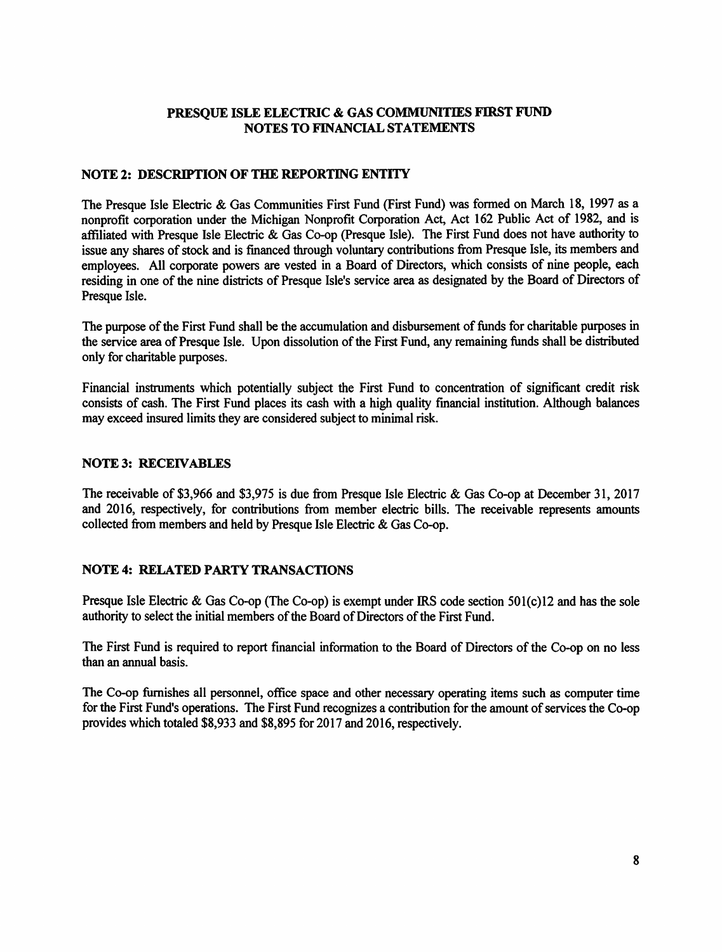### **NOTE 2: DESCRIPTION OF THE REPORTING ENTITY**

The Presque Isle Electric & Gas Communities First Fund (First Fund) was formed on March 18, 1997 as a nonprofit corporation under the Michigan Nonprofit Corporation Act, Act 162 Public Act of 1982, and is affiliated with Presque Isle Electric & Gas Co-op (Presque Isle). The First Fund does not have authority to issue any shares of stock and is financed through voluntary contributions from Presque Isle, its members and employees. All corporate powers are vested in a Board of Directors, which consists of nine people, each residing in one of the nine districts of Presque Isle's service area as designated by the Board of Directors of Presque Isle.

The purpose of the First Fund shall be the accumulation and disbursement of funds for charitable purposes in the service area of Presque Isle. Upon dissolution of the First Fund, any remaining funds shall be distributed only for charitable purposes.

Financial instruments which potentially subject the First Fund to concentration of significant credit risk consists of cash. The First Fund places its cash with a high quality financial institution. Although balances may exceed insured limits they are considered subject to minimal risk.

#### **NOTE3: RECEIVABLES**

The receivable of \$3,966 and \$3,975 is due from Presque Isle Electric & Gas Co-op at December 31, 2017 and 2016, respectively, for contributions from member electric bills. The receivable represents amounts collected from members and held by Presque Isle Electric & Gas Co-op.

## **NOTE 4: RELATED PARTY TRANSACTIONS**

Presque Isle Electric & Gas Co-op (The Co-op) is exempt under IRS code section 501(c)l2 and has the sole authority to select the initial members of the Board of Directors of the First Fund.

The First Fund is required to report financial information to the Board of Directors of the Co-op on no less than an annual basis.

The Co-op furnishes all personnel, office space and other necessary operating items such as computer time for the First Fund's operations. The First Fund recognizes a contribution for the amount of services the Co-op provides which totaled \$8,933 and \$8,895 for 2017 and 2016, respectively.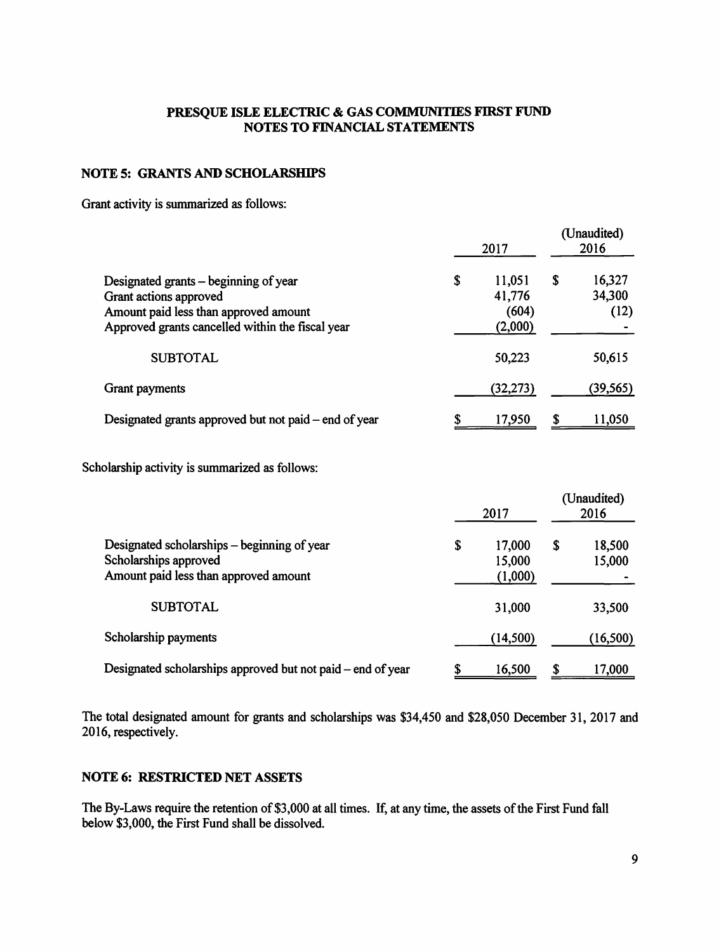### **NOTE 5: GRANTS AND SCHOLARSHIPS**

Grant activity is summarized as follows:

|                                                                                                                                                              | 2017                                       |    | (Unaudited)<br>2016      |  |
|--------------------------------------------------------------------------------------------------------------------------------------------------------------|--------------------------------------------|----|--------------------------|--|
| Designated grants – beginning of year<br>Grant actions approved<br>Amount paid less than approved amount<br>Approved grants cancelled within the fiscal year | \$<br>11,051<br>41,776<br>(604)<br>(2,000) | S  | 16,327<br>34,300<br>(12) |  |
| <b>SUBTOTAL</b>                                                                                                                                              | 50,223                                     |    | 50,615                   |  |
| Grant payments                                                                                                                                               | (32,273)                                   |    | (39, 565)                |  |
| Designated grants approved but not paid – end of year                                                                                                        | \$<br>17,950                               | \$ | 11,050                   |  |

Scholarship activity is summarized as follows:

|                                                                                                               |    | 2017                        |    | (Unaudited)<br>2016 |  |
|---------------------------------------------------------------------------------------------------------------|----|-----------------------------|----|---------------------|--|
| Designated scholarships – beginning of year<br>Scholarships approved<br>Amount paid less than approved amount | \$ | 17,000<br>15,000<br>(1,000) | \$ | 18,500<br>15,000    |  |
| <b>SUBTOTAL</b>                                                                                               |    | 31,000                      |    | 33,500              |  |
| Scholarship payments                                                                                          |    | (14, 500)                   |    | (16, 500)           |  |
| Designated scholarships approved but not paid – end of year                                                   |    | 16,500                      |    | 17,000              |  |

The total designated amount for grants and scholarships was \$34,450 and \$28,050 December 31, 2017 and 2016, respectively.

### **NOTE 6: RESTRICTED NET ASSETS**

The By-Laws require the retention of \$3,000 at all times. If, at any time, the assets of the First Fund fall below \$3,000, the First Fund shall be dissolved.